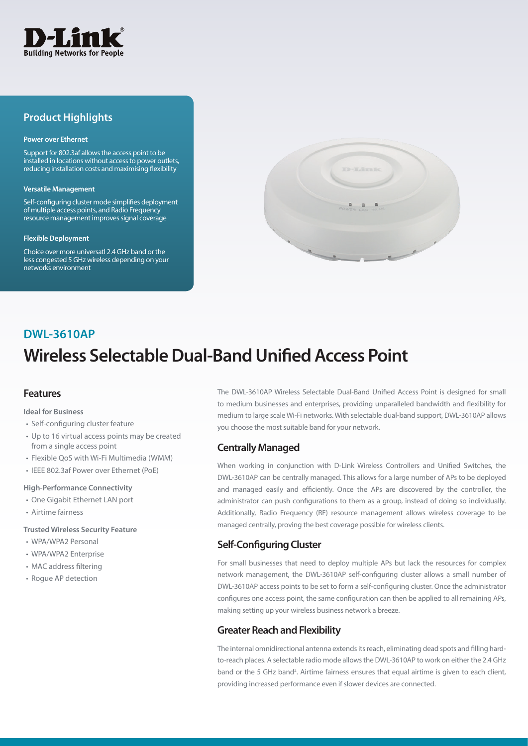

## **Product Highlights**

#### **Power over Ethernet**

Support for 802.3af allows the access point to be installed in locations without access to power outlets, reducing installation costs and maximising flexibility

#### **Versatile Management**

Self-configuring cluster mode simplifies deployment of multiple access points, and Radio Frequency resource management improves signal coverage

#### **Flexible Deployment**

Choice over more universatl 2.4 GHz band or the less congested 5 GHz wireless depending on your networks environment



# **Wireless Selectable Dual-Band Unified Access Point DWL-3610AP**

### **Features**

**Ideal for Business**

- Self-configuring cluster feature
- Up to 16 virtual access points may be created from a single access point
- Flexible QoS with Wi-Fi Multimedia (WMM)
- IEEE 802.3af Power over Ethernet (PoE)

#### **High-Performance Connectivity**

- One Gigabit Ethernet LAN port
- Airtime fairness

#### **Trusted Wireless Security Feature**

- WPA/WPA2 Personal
- WPA/WPA2 Enterprise
- MAC address filtering
- Rogue AP detection

The DWL-3610AP Wireless Selectable Dual-Band Unified Access Point is designed for small to medium businesses and enterprises, providing unparalleled bandwidth and flexibility for medium to large scale Wi-Fi networks. With selectable dual-band support, DWL-3610AP allows you choose the most suitable band for your network.

### **Centrally Managed**

When working in conjunction with D-Link Wireless Controllers and Unified Switches, the DWL-3610AP can be centrally managed. This allows for a large number of APs to be deployed and managed easily and efficiently. Once the APs are discovered by the controller, the administrator can push configurations to them as a group, instead of doing so individually. Additionally, Radio Frequency (RF) resource management allows wireless coverage to be managed centrally, proving the best coverage possible for wireless clients.

## **Self-Configuring Cluster**

For small businesses that need to deploy multiple APs but lack the resources for complex network management, the DWL-3610AP self-configuring cluster allows a small number of DWL-3610AP access points to be set to form a self-configuring cluster. Once the administrator configures one access point, the same configuration can then be applied to all remaining APs, making setting up your wireless business network a breeze.

### **Greater Reach and Flexibility**

The internal omnidirectional antenna extends its reach, eliminating dead spots and filling hardto-reach places. A selectable radio mode allows the DWL-3610AP to work on either the 2.4 GHz band or the 5 GHz band2 . Airtime fairness ensures that equal airtime is given to each client, providing increased performance even if slower devices are connected.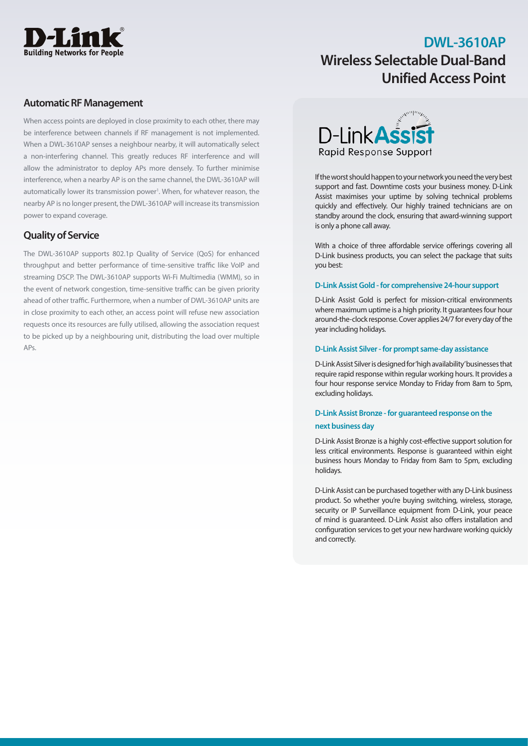

## **DWL-3610AP Wireless Selectable Dual-Band Unified Access Point**

## **Automatic RF Management**

When access points are deployed in close proximity to each other, there may be interference between channels if RF management is not implemented. When a DWL-3610AP senses a neighbour nearby, it will automatically select a non-interfering channel. This greatly reduces RF interference and will allow the administrator to deploy APs more densely. To further minimise interference, when a nearby AP is on the same channel, the DWL-3610AP will automatically lower its transmission power<sup>1</sup>. When, for whatever reason, the nearby AP is no longer present, the DWL-3610AP will increase its transmission power to expand coverage.

## **Quality of Service**

The DWL-3610AP supports 802.1p Quality of Service (QoS) for enhanced throughput and better performance of time-sensitive traffic like VoIP and streaming DSCP. The DWL-3610AP supports Wi-Fi Multimedia (WMM), so in the event of network congestion, time-sensitive traffic can be given priority ahead of other traffic. Furthermore, when a number of DWL-3610AP units are in close proximity to each other, an access point will refuse new association requests once its resources are fully utilised, allowing the association request to be picked up by a neighbouring unit, distributing the load over multiple APs.



If the worst should happen to your network you need the very best support and fast. Downtime costs your business money. D-Link Assist maximises your uptime by solving technical problems quickly and effectively. Our highly trained technicians are on standby around the clock, ensuring that award-winning support is only a phone call away.

With a choice of three affordable service offerings covering all D-Link business products, you can select the package that suits you best:

### **D-Link Assist Gold - for comprehensive 24-hour support**

D-Link Assist Gold is perfect for mission-critical environments where maximum uptime is a high priority. It guarantees four hour around-the-clock response. Cover applies 24/7 for every day of the year including holidays.

### **D-Link Assist Silver - for prompt same-day assistance**

D-Link Assist Silver is designed for 'high availability' businesses that require rapid response within regular working hours. It provides a four hour response service Monday to Friday from 8am to 5pm, excluding holidays.

## **D-Link Assist Bronze - for guaranteed response on the next business day**

D-Link Assist Bronze is a highly cost-effective support solution for less critical environments. Response is guaranteed within eight business hours Monday to Friday from 8am to 5pm, excluding holidays.

D-Link Assist can be purchased together with any D-Link business product. So whether you're buying switching, wireless, storage, security or IP Surveillance equipment from D-Link, your peace of mind is guaranteed. D-Link Assist also offers installation and configuration services to get your new hardware working quickly and correctly.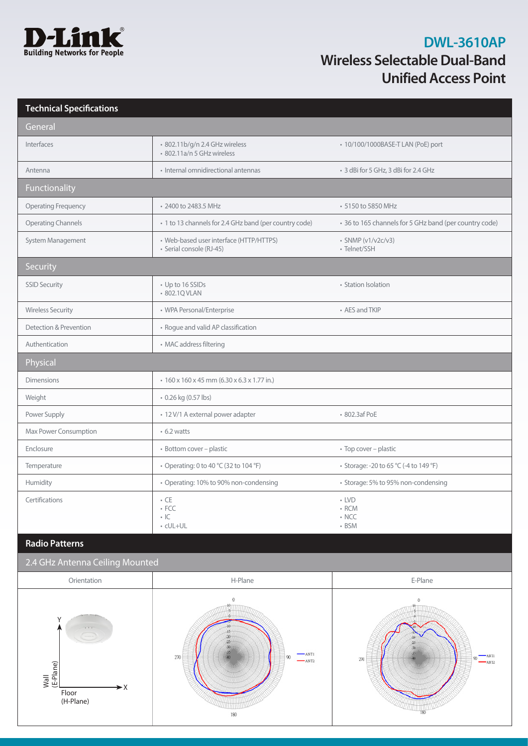

# **DWL-3610AP Wireless Selectable Dual-Band Unified Access Point**

| <b>Technical Specifications</b> |                                                                     |                                                        |
|---------------------------------|---------------------------------------------------------------------|--------------------------------------------------------|
| General                         |                                                                     |                                                        |
| Interfaces                      | · 802.11b/g/n 2.4 GHz wireless<br>· 802.11a/n 5 GHz wireless        | • 10/100/1000BASE-T LAN (PoE) port                     |
| Antenna                         | · Internal omnidirectional antennas                                 | · 3 dBi for 5 GHz, 3 dBi for 2.4 GHz                   |
| <b>Functionality</b>            |                                                                     |                                                        |
| <b>Operating Frequency</b>      | • 2400 to 2483.5 MHz                                                | • 5150 to 5850 MHz                                     |
| <b>Operating Channels</b>       | · 1 to 13 channels for 2.4 GHz band (per country code)              | • 36 to 165 channels for 5 GHz band (per country code) |
| System Management               | • Web-based user interface (HTTP/HTTPS)<br>· Serial console (RJ-45) | • SNMP (v1/v2c/v3)<br>• Telnet/SSH                     |
| Security                        |                                                                     |                                                        |
| <b>SSID Security</b>            | • Up to 16 SSIDs<br>• 802.1Q VLAN                                   | • Station Isolation                                    |
| <b>Wireless Security</b>        | • WPA Personal/Enterprise                                           | • AES and TKIP                                         |
| Detection & Prevention          | • Rogue and valid AP classification                                 |                                                        |
| Authentication                  | • MAC address filtering                                             |                                                        |
| Physical                        |                                                                     |                                                        |
| <b>Dimensions</b>               | $\cdot$ 160 x 160 x 45 mm (6.30 x 6.3 x 1.77 in.)                   |                                                        |
| Weight                          | • 0.26 kg (0.57 lbs)                                                |                                                        |
| Power Supply                    | · 12 V/1 A external power adapter                                   | • 802.3af PoE                                          |
| Max Power Consumption           | $\cdot$ 6.2 watts                                                   |                                                        |
| Enclosure                       | • Bottom cover - plastic                                            | • Top cover - plastic                                  |
| Temperature                     | • Operating: 0 to 40 °C (32 to 104 °F)                              | • Storage: -20 to 65 °C (-4 to 149 °F)                 |
| Humidity                        | • Operating: 10% to 90% non-condensing                              | • Storage: 5% to 95% non-condensing                    |
| Certifications                  | $\cdot$ CE<br>$\cdot$ FCC<br> C <br>• cUL+UL                        | $\cdot$ LVD<br>$\cdot$ RCM<br>$\cdot$ NCC<br>• BSM     |

## **Radio Patterns**

## 2.4 GHz Antenna Ceiling Mounted